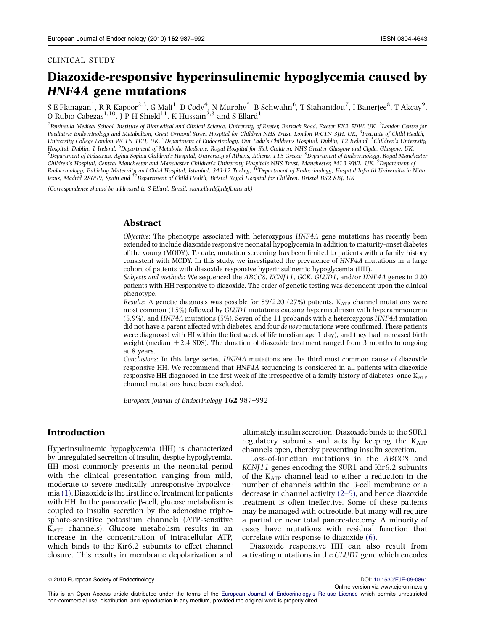#### CLINICAL STUDY

# Diazoxide-responsive hyperinsulinemic hypoglycemia caused by HNF4A gene mutations

S E Flanagan $^1$ , R R Kapoor $^{2,3}$ , G Mali $^1$ , D Cody $^4$ , N Murphy $^5$ , B Schwahn $^6$ , T Siahanidou $^7$ , I Banerjee $^8$ , T Akcay $^9$ , O Rubio-Cabezas<sup>1,10</sup>, J P H Shield<sup>11</sup>, K Hussain<sup>2,3</sup> and S Ellard<sup>1</sup>

<sup>1</sup> Peninsula Medical School, Institute of Biomedical and Clinical Science, University of Exeter, Barrack Road, Exeter EX2 5DW, UK, <sup>2</sup>London Centre for Paediatric Endocrinology and Metabolism, Great Ormond Street Hospital for Children NHS Trust, London WC1N 3JH, UK, <sup>3</sup>Institute of Child Health, University College London WC1N 1EH, UK, <sup>4</sup>Department of Endocrinology, Our Lady's Childrens Hospital, Dublin, 12 Ireland, <sup>5</sup>Children's University Hospital, Dublin, 1 Ireland, <sup>6</sup>Department of Metabolic Medicine, Royal Hospital for Sick Children, NHS Greater Glasgow and Clyde, Glasgow, UK,<br><sup>7</sup>Department of Pedigtrics, Agbig Sephia Children's Hospital, University of A Department of Pediatrics, Aghia Sophia Children's Hospital, University of Athens, Athens, 115 Greece, <sup>8</sup>Department of Endocrinology, Royal Manchester Children's Hospital, Central Manchester and Manchester Children's University Hospitals NHS Trust, Manchester, M13 9WL, UK, <sup>3</sup>Department of<br>Endocrinology, Bakirkoy Maternity and Child Hospital, Istanbul, 34142 Turkey, <sup>10</sup> Jesus, Madrid 28009, Spain and <sup>11</sup>Department of Child Health, Bristol Royal Hospital for Children, Bristol BS2 8BJ, UK

(Correspondence should be addressed to S Ellard; Email: sian.ellard@rdeft.nhs.uk)

### Abstract

Objective: The phenotype associated with heterozygous HNF4A gene mutations has recently been extended to include diazoxide responsive neonatal hypoglycemia in addition to maturity-onset diabetes of the young (MODY). To date, mutation screening has been limited to patients with a family history consistent with MODY. In this study, we investigated the prevalence of HNF4A mutations in a large cohort of patients with diazoxide responsive hyperinsulinemic hypoglycemia (HH).

Subjects and methods: We sequenced the ABCC8, KCNJ11, GCK, GLUD1, and/or HNF4A genes in 220 patients with HH responsive to diazoxide. The order of genetic testing was dependent upon the clinical phenotype.

Results: A genetic diagnosis was possible for 59/220 (27%) patients.  $K_{ATP}$  channel mutations were most common (15%) followed by GLUD1 mutations causing hyperinsulinism with hyperammonemia (5.9%), and HNF4A mutations (5%). Seven of the 11 probands with a heterozygous HNF4A mutation did not have a parent affected with diabetes, and four de novo mutations were confirmed. These patients were diagnosed with HI within the first week of life (median age 1 day), and they had increased birth weight (median  $+2.4$  SDS). The duration of diazoxide treatment ranged from 3 months to ongoing at 8 years.

Conclusions: In this large series, HNF4A mutations are the third most common cause of diazoxide responsive HH. We recommend that HNF4A sequencing is considered in all patients with diazoxide responsive HH diagnosed in the first week of life irrespective of a family history of diabetes, once  $K_{ATP}$ channel mutations have been excluded.

European Journal of Endocrinology 162 987–992

## Introduction

Hyperinsulinemic hypoglycemia (HH) is characterized by unregulated secretion of insulin, despite hypoglycemia. HH most commonly presents in the neonatal period with the clinical presentation ranging from mild, moderate to severe medically unresponsive hypoglycemia [\(1\).](#page-4-0) Diazoxide is the first line of treatment for patients with HH. In the pancreatic  $\beta$ -cell, glucose metabolism is coupled to insulin secretion by the adenosine triphosphate-sensitive potassium channels (ATP-sensitive KATP channels). Glucose metabolism results in an increase in the concentration of intracellular ATP, which binds to the Kir6.2 subunits to effect channel closure. This results in membrane depolarization and ultimately insulin secretion. Diazoxide binds to the SUR1 regulatory subunits and acts by keeping the  $K_{ATP}$ channels open, thereby preventing insulin secretion.

Loss-of-function mutations in the ABCC8 and KCNJ11 genes encoding the SUR1 and Kir6.2 subunits of the KATP channel lead to either a reduction in the number of channels within the  $\beta$ -cell membrane or a decrease in channel activity [\(2–5\),](#page-4-0) and hence diazoxide treatment is often ineffective. Some of these patients may be managed with octreotide, but many will require a partial or near total pancreatectomy. A minority of cases have mutations with residual function that correlate with response to diazoxide [\(6\).](#page-4-0)

Diazoxide responsive HH can also result from activating mutations in the GLUD1 gene which encodes

Online version via www.eje-online.org

q 2010 European Society of Endocrinology DOI: [10.1530/EJE-09-0861](http://dx.doi.org/10.1530/EJE-09-0861)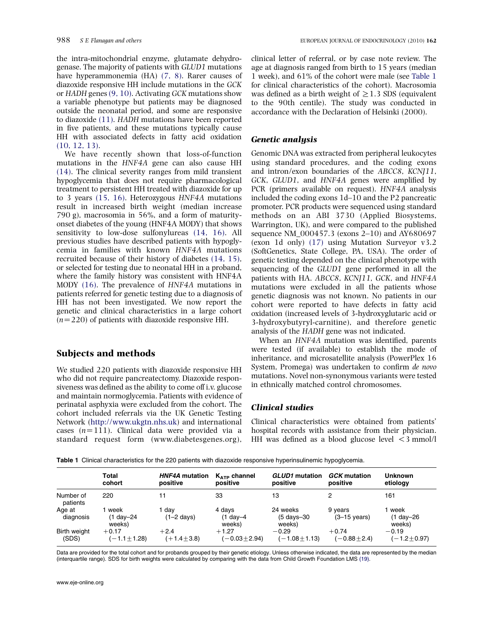<span id="page-1-0"></span>the intra-mitochondrial enzyme, glutamate dehydrogenase. The majority of patients with GLUD1 mutations have hyperammonemia (HA) [\(7, 8\).](#page-4-0) Rarer causes of diazoxide responsive HH include mutations in the GCK or HADH genes [\(9, 10\)](#page-4-0). Activating GCK mutations show a variable phenotype but patients may be diagnosed outside the neonatal period, and some are responsive to diazoxide [\(11\)](#page-4-0). HADH mutations have been reported in five patients, and these mutations typically cause HH with associated defects in fatty acid oxidation [\(10, 12, 13\).](#page-4-0)

We have recently shown that loss-of-function mutations in the HNF4A gene can also cause HH [\(14\)](#page-4-0). The clinical severity ranges from mild transient hypoglycemia that does not require pharmacological treatment to persistent HH treated with diazoxide for up to 3 years [\(15, 16\)](#page-4-0). Heterozygous HNF4A mutations result in increased birth weight (median increase 790 g), macrosomia in 56%, and a form of maturityonset diabetes of the young (HNF4A MODY) that shows sensitivity to low-dose sulfonylureas [\(14, 16\).](#page-4-0) All previous studies have described patients with hypoglycemia in families with known HNF4A mutations recruited because of their history of diabetes [\(14, 15\),](#page-4-0) or selected for testing due to neonatal HH in a proband, where the family history was consistent with HNF4A MODY [\(16\)](#page-4-0). The prevalence of HNF4A mutations in patients referred for genetic testing due to a diagnosis of HH has not been investigated. We now report the genetic and clinical characteristics in a large cohort  $(n=220)$  of patients with diazoxide responsive HH.

# Subjects and methods

We studied 220 patients with diazoxide responsive HH who did not require pancreatectomy. Diazoxide responsiveness was defined as the ability to come off i.v. glucose and maintain normoglycemia. Patients with evidence of perinatal asphyxia were excluded from the cohort. The cohort included referrals via the UK Genetic Testing Network ([http://www.ukgtn.nhs.uk\)](http://www.ukgtn.nhs.uk) and international cases  $(n=111)$ . Clinical data were provided via a standard request form (www.diabetesgenes.org),

clinical letter of referral, or by case note review. The age at diagnosis ranged from birth to 15 years (median 1 week), and 61% of the cohort were male (see Table 1 for clinical characteristics of the cohort). Macrosomia was defined as a birth weight of  $>1.3$  SDS (equivalent to the 90th centile). The study was conducted in accordance with the Declaration of Helsinki (2000).

## Genetic analysis

Genomic DNA was extracted from peripheral leukocytes using standard procedures, and the coding exons and intron/exon boundaries of the ABCC8, KCNJ11, GCK, GLUD1, and HNF4A genes were amplified by PCR (primers available on request). HNF4A analysis included the coding exons 1d–10 and the P2 pancreatic promoter. PCR products were sequenced using standard methods on an ABI 3730 (Applied Biosystems, Warrington, UK), and were compared to the published sequence NM\_000457.3 (exons 2–10) and AY680697 (exon 1d only) [\(17\)](#page-5-0) using Mutation Surveyor v3.2 (SoftGenetics, State College, PA, USA). The order of genetic testing depended on the clinical phenotype with sequencing of the GLUD1 gene performed in all the patients with HA. ABCC8, KCNJ11, GCK, and HNF4A mutations were excluded in all the patients whose genetic diagnosis was not known. No patients in our cohort were reported to have defects in fatty acid oxidation (increased levels of 3-hydroxyglutaric acid or 3-hydroxybutyryl-carnitine), and therefore genetic analysis of the HADH gene was not indicated.

When an HNF4A mutation was identified, parents were tested (if available) to establish the mode of inheritance, and microsatellite analysis (PowerPlex 16 System, Promega) was undertaken to confirm de novo mutations. Novel non-synonymous variants were tested in ethnically matched control chromosomes.

## Clinical studies

Clinical characteristics were obtained from patients' hospital records with assistance from their physician. HH was defined as a blood glucose level  $\leq$  3 mmol/l

Table 1 Clinical characteristics for the 220 patients with diazoxide responsive hyperinsulinemic hypoglycemia.

|                       | Total                       | <b>HNF4A</b> mutation       | $K_{ATP}$ channel                 | <b>GLUD1</b> mutation                         | <b>GCK</b> mutation               | <b>Unknown</b>                     |
|-----------------------|-----------------------------|-----------------------------|-----------------------------------|-----------------------------------------------|-----------------------------------|------------------------------------|
|                       | cohort                      | positive                    | positive                          | positive                                      | positive                          | etiology                           |
| Number of<br>patients | 220                         |                             | 33                                | 13                                            | 2                                 | 161                                |
| Age at<br>diagnosis   | week<br>(1 day-24<br>weeks) | dav<br>$(1-2 \text{ days})$ | 4 days<br>$(1$ day $-4$<br>weeks) | 24 weeks<br>$(5 \text{ days} - 30)$<br>weeks) | 9 years<br>$(3-15 \text{ years})$ | ∣ week<br>$(1$ day $-26$<br>weeks) |
| <b>Birth weight</b>   | $+0.17$                     | $+2.4$                      | $+1.27$                           | $-0.29$                                       | $+0.74$                           | $-0.19$                            |
| (SDS)                 | $(-1.1 \pm 1.28)$           | $(+1.4 \pm 3.8)$            | $(-0.03 + 2.94)$                  | $(-1.08 \pm 1.13)$                            | $(-0.88 + 2.4)$                   | $(-1.2 \pm 0.97)$                  |

Data are provided for the total cohort and for probands grouped by their genetic etiology. Unless otherwise indicated, the data are represented by the median (interquartile range). SDS for birth weights were calculated by comparing with the data from Child Growth Foundation LMS [\(19\).](#page-5-0)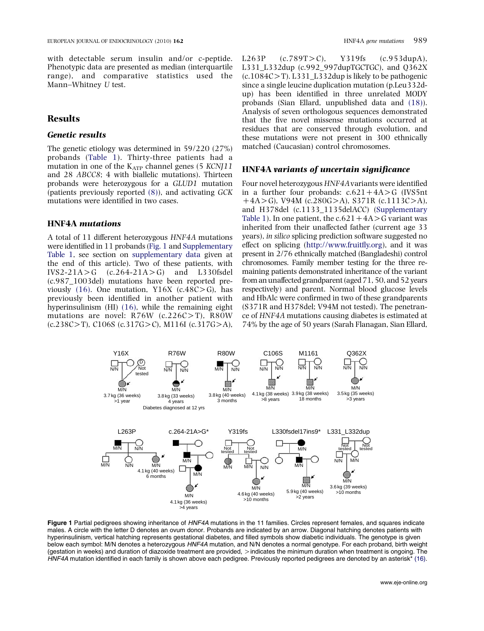<span id="page-2-0"></span>with detectable serum insulin and/or c-peptide. Phenotypic data are presented as median (interquartile range), and comparative statistics used the Mann–Whitney U test.

# Results

## Genetic results

The genetic etiology was determined in 59/220 (27%) probands ([Table 1\)](#page-1-0). Thirty-three patients had a mutation in one of the  $K_{ATP}$  channel genes (5 KCNJ11 and 28 ABCC8; 4 with biallelic mutations). Thirteen probands were heterozygous for a GLUD1 mutation (patients previously reported [\(8\)\)](#page-4-0), and activating GCK mutations were identified in two cases.

# HNF4A mutations

A total of 11 different heterozygous HNF4A mutations were identified in 11 probands (Fig. 1 and [Supplementary](http://www.eje-online.org/cgi/content/full/EJE-09-0861/DC1) [Table 1](http://www.eje-online.org/cgi/content/full/EJE-09-0861/DC1), see section on [supplementary data](#page-4-0) given at the end of this article). Two of these patients, with IVS2-21A $>$ G (c.264-21A $>$ G) and L330fsdel (c.987\_1003del) mutations have been reported pre-viously [\(16\).](#page-4-0) One mutation, Y16X (c.48C $>$ G), has previously been identified in another patient with hyperinsulinism (HI) [\(16\)](#page-4-0), while the remaining eight mutations are novel:  $R76W$  (c.226C $>$ T), R80W  $(c.238C>T)$ , C106S  $(c.317G>C)$ , M116I  $(c.317G>A)$ ,

L263P  $(c.789T>C)$ , Y319fs  $(c.953dupA)$ , L331\_L332dup (c.992\_997dupTGCTGC), and  $O362X$  $(c.1084C>T)$ . L331\_L332dup is likely to be pathogenic since a single leucine duplication mutation (p.Leu332dup) has been identified in three unrelated MODY probands (Sian Ellard, unpublished data and [\(18\)](#page-5-0)). Analysis of seven orthologous sequences demonstrated that the five novel missense mutations occurred at residues that are conserved through evolution, and these mutations were not present in 300 ethnically matched (Caucasian) control chromosomes.

#### HNF4A variants of uncertain significance

Four novel heterozygous HNF4Avariants were identified in a further four probands:  $c.621 + 4A > G$  (IVS5nt  $+4A > G$ ), V94M (c.280G $> A$ ), S371R (c.1113C $> A$ ), and H378del (c.1133\_1135delACC) ([Supplementary](http://www.eje-online.org/cgi/content/full/EJE-09-0861/DC1) [Table 1](http://www.eje-online.org/cgi/content/full/EJE-09-0861/DC1)). In one patient, the  $c.621 + 4A > G$  variant was inherited from their unaffected father (current age 33 years), in silico splicing prediction software suggested no effect on splicing (<http://www.fruitfly.org>), and it was present in 2/76 ethnically matched (Bangladeshi) control chromosomes. Family member testing for the three remaining patients demonstrated inheritance of the variant from an unaffected grandparent (aged 71, 50, and 52 years respectively) and parent. Normal blood glucose levels and HbAlc were confirmed in two of these grandparents (S371R and H378del; V94M not tested). The penetrance of HNF4A mutations causing diabetes is estimated at 74% by the age of 50 years (Sarah Flanagan, Sian Ellard,



Figure 1 Partial pedigrees showing inheritance of HNF4A mutations in the 11 families. Circles represent females, and squares indicate males. A circle with the letter D denotes an ovum donor. Probands are indicated by an arrow. Diagonal hatching denotes patients with hyperinsulinism, vertical hatching represents gestational diabetes, and filled symbols show diabetic individuals. The genotype is given below each symbol: M/N denotes a heterozygous HNF4A mutation, and N/N denotes a normal genotype. For each proband, birth weight (gestation in weeks) and duration of diazoxide treatment are provided,  $>$  indicates the minimum duration when treatment is ongoing. The  $HNF4A$  mutation identified in each family is shown above each pedigree. Previously reported pedigrees are denoted by an asterisk<sup>\*</sup> [\(16\).](#page-4-0)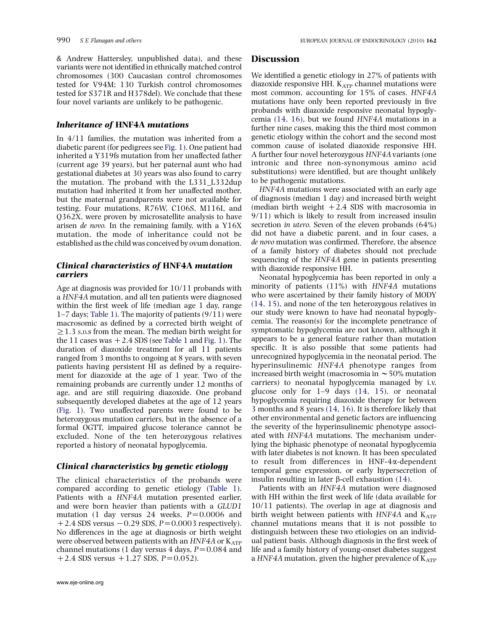& Andrew Hattersley, unpublished data), and these variants were not identified in ethnically matched control chromosomes (300 Caucasian control chromosomes tested for V94M; 130 Turkish control chromosomes tested for S371R and H378del). We conclude that these four novel variants are unlikely to be pathogenic.

#### Inheritance of HNF4A mutations

In 4/11 families, the mutation was inherited from a diabetic parent (for pedigrees see [Fig. 1](#page-2-0)). One patient had inherited a Y319fs mutation from her unaffected father (current age 39 years), but her paternal aunt who had gestational diabetes at 30 years was also found to carry the mutation. The proband with the L331\_L332dup mutation had inherited it from her unaffected mother, but the maternal grandparents were not available for testing. Four mutations, R76W, C106S, M116I, and Q362X, were proven by microsatellite analysis to have arisen de novo. In the remaining family, with a Y16X mutation, the mode of inheritance could not be established as the child was conceived by ovum donation.

### Clinical characteristics of HNF4A mutation carriers

Age at diagnosis was provided for 10/11 probands with a HNF4A mutation, and all ten patients were diagnosed within the first week of life (median age 1 day, range 1–7 days; [Table 1](#page-1-0)). The majority of patients (9/11) were macrosomic as defined by a corrected birth weight of  $\geq$  1.3 s.p.s from the mean. The median birth weight for the 11 cases was  $+2.4$  SDS (see [Table 1](#page-1-0) and [Fig. 1](#page-2-0)). The duration of diazoxide treatment for all 11 patients ranged from 3 months to ongoing at 8 years, with seven patients having persistent HI as defined by a requirement for diazoxide at the age of 1 year. Two of the remaining probands are currently under 12 months of age, and are still requiring diazoxide. One proband subsequently developed diabetes at the age of 12 years [\(Fig. 1](#page-2-0)). Two unaffected parents were found to be heterozygous mutation carriers, but in the absence of a formal OGTT, impaired glucose tolerance cannot be excluded. None of the ten heterozygous relatives reported a history of neonatal hypoglycemia.

#### Clinical characteristics by genetic etiology

The clinical characteristics of the probands were compared according to genetic etiology [\(Table 1](#page-1-0)). Patients with a HNF4A mutation presented earlier, and were born heavier than patients with a GLUD1 mutation (1 day versus 24 weeks,  $P=0.0006$  and  $+2.4$  SDS versus  $-0.29$  SDS,  $P=0.0003$  respectively). No differences in the age at diagnosis or birth weight were observed between patients with an  $HNF4A$  or  $K_{ATP}$ channel mutations (1 day versus 4 days,  $P = 0.084$  and  $+2.4$  SDS versus  $+1.27$  SDS,  $P=0.052$ ).

#### **Discussion**

We identified a genetic etiology in 27% of patients with diazoxide responsive HH.  $K_{ATP}$  channel mutations were most common, accounting for 15% of cases. HNF4A mutations have only been reported previously in five probands with diazoxide responsive neonatal hypoglycemia [\(14, 16\)](#page-4-0), but we found HNF4A mutations in a further nine cases, making this the third most common genetic etiology within the cohort and the second most common cause of isolated diazoxide responsive HH. A further four novel heterozygous HNF4Avariants (one intronic and three non-synonymous amino acid substitutions) were identified, but are thought unlikely to be pathogenic mutations.

HNF4A mutations were associated with an early age of diagnosis (median 1 day) and increased birth weight (median birth weight  $+2.4$  SDS with macrosomia in 9/11) which is likely to result from increased insulin secretion in utero. Seven of the eleven probands (64%) did not have a diabetic parent, and in four cases, a de novo mutation was confirmed. Therefore, the absence of a family history of diabetes should not preclude sequencing of the HNF4A gene in patients presenting with diazoxide responsive HH.

Neonatal hypoglycemia has been reported in only a minority of patients (11%) with HNF4A mutations who were ascertained by their family history of MODY [\(14, 15\),](#page-4-0) and none of the ten heterozygous relatives in our study were known to have had neonatal hypoglycemia. The reason(s) for the incomplete penetrance of symptomatic hypoglycemia are not known, although it appears to be a general feature rather than mutation specific. It is also possible that some patients had unrecognized hypoglycemia in the neonatal period. The hyperinsulinemic HNF4A phenotype ranges from increased birth weight (macrosomia in  $\sim$  50% mutation carriers) to neonatal hypoglycemia managed by i.v. glucose only for 1–9 days [\(14, 15\),](#page-4-0) or neonatal hypoglycemia requiring diazoxide therapy for between 3 months and 8 years [\(14, 16\).](#page-4-0) It is therefore likely that other environmental and genetic factors are influencing the severity of the hyperinsulinemic phenotype associated with HNF4A mutations. The mechanism underlying the biphasic phenotype of neonatal hypoglycemia with later diabetes is not known. It has been speculated to result from differences in HNF-4a-dependent temporal gene expression, or early hypersecretion of insulin resulting in later  $\beta$ -cell exhaustion [\(14\)](#page-4-0).

Patients with an HNF4A mutation were diagnosed with HH within the first week of life (data available for 10/11 patients). The overlap in age at diagnosis and birth weight between patients with  $HNF4A$  and  $K_{ATP}$ channel mutations means that it is not possible to distinguish between these two etiologies on an individual patient basis. Although diagnosis in the first week of life and a family history of young-onset diabetes suggest a HNF4A mutation, given the higher prevalence of  $K_{ATP}$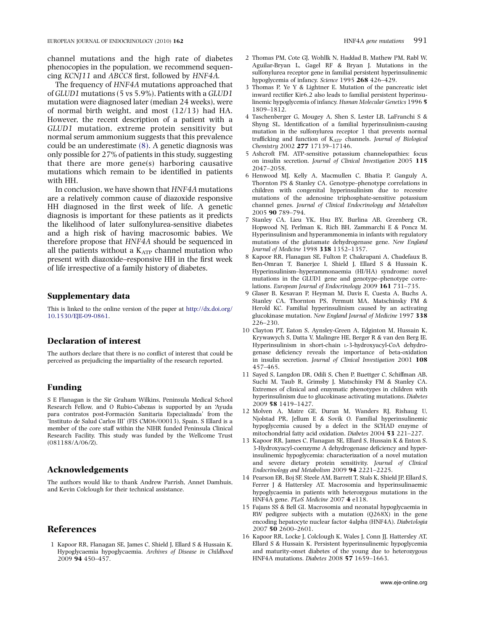<span id="page-4-0"></span>channel mutations and the high rate of diabetes phenocopies in the population, we recommend sequencing KCNJ11 and ABCC8 first, followed by HNF4A.

The frequency of HNF4A mutations approached that of GLUD1 mutations (5 vs 5.9%). Patients with a GLUD1 mutation were diagnosed later (median 24 weeks), were of normal birth weight, and most (12/13) had HA. However, the recent description of a patient with a GLUD1 mutation, extreme protein sensitivity but normal serum ammonium suggests that this prevalence could be an underestimate (8). A genetic diagnosis was only possible for 27% of patients in this study, suggesting that there are more gene(s) harboring causative mutations which remain to be identified in patients with HH.

In conclusion, we have shown that HNF4A mutations are a relatively common cause of diazoxide responsive HH diagnosed in the first week of life. A genetic diagnosis is important for these patients as it predicts the likelihood of later sulfonylurea-sensitive diabetes and a high risk of having macrosomic babies. We therefore propose that HNF4A should be sequenced in all the patients without a  $K_{ATP}$  channel mutation who present with diazoxide–responsive HH in the first week of life irrespective of a family history of diabetes.

#### Supplementary data

This is linked to the online version of the paper at [http://dx.doi.org/](http://dx.doi.org/10.1530/EJE-09-0861) [10.1530/EJE-09-0861](http://dx.doi.org/10.1530/EJE-09-0861).

### Declaration of interest

The authors declare that there is no conflict of interest that could be perceived as prejudicing the impartiality of the research reported.

#### Funding

S E Flanagan is the Sir Graham Wilkins, Peninsula Medical School Research Fellow, and O Rubio-Cabezas is supported by an 'Ayuda para contratos post-Formación Sanitaria Especializada' from the 'Instituto de Salud Carlos III' (FIS CM06/00013), Spain. S Ellard is a member of the core staff within the NIHR funded Peninsula Clinical Research Facility. This study was funded by the Wellcome Trust (081188/A/06/Z).

## Acknowledgements

The authors would like to thank Andrew Parrish, Annet Damhuis, and Kevin Colclough for their technical assistance.

# References

1 Kapoor RR, Flanagan SE, James C, Shield J, Ellard S & Hussain K. Hypoglycaemia hypoglycaemia. Archives of Disease in Childhood 2009 94 450–457.

- 2 Thomas PM, Cote GJ, Wohllk N, Haddad B, Mathew PM, Rabl W, Aguilar-Bryan L, Gagel RF & Bryan J. Mutations in the sulfonylurea receptor gene in familial persistent hyperinsulinemic hypoglycemia of infancy. Science 1995 268 426–429.
- 3 Thomas P, Ye Y & Lightner E. Mutation of the pancreatic islet inward rectifier Kir6.2 also leads to familial persistent hyperinsulinemic hypoglycemia of infancy. Human Molecular Genetics 1996 5 1809–1812.
- 4 Taschenberger G, Mougey A, Shen S, Lester LB, LaFranchi S & Shyng SL. Identification of a familial hyperinsulinism-causing mutation in the sulfonylurea receptor 1 that prevents normal trafficking and function of  $K_{ATP}$  channels. Journal of Biological Chemistry 2002 277 17139–17146.
- 5 Ashcroft FM. ATP-sensitive potassium channelopathies: focus on insulin secretion. Journal of Clinical Investigation 2005 115 2047–2058.
- 6 Henwood MJ, Kelly A, Macmullen C, Bhatia P, Ganguly A, Thornton PS & Stanley CA. Genotype–phenotype correlations in children with congenital hyperinsulinism due to recessive mutations of the adenosine triphosphate-sensitive potassium channel genes. Journal of Clinical Endocrinology and Metabolism 2005 90 789–794.
- 7 Stanley CA, Lieu YK, Hsu BY, Burlina AB, Greenberg CR, Hopwood NJ, Perlman K, Rich BH, Zammarchi E & Poncz M. Hyperinsulinism and hyperammonemia in infants with regulatory mutations of the glutamate dehydrogenase gene. New England Journal of Medicine 1998 338 1352–1357.
- 8 Kapoor RR, Flanagan SE, Fulton P, Chakrapani A, Chadefaux B, Ben-Omran T, Banerjee I, Shield J, Ellard S & Hussain K. Hyperinsulinism–hyperammonaemia (HI/HA) syndrome: novel mutations in the GLUD1 gene and genotype–phenotype correlations. European Journal of Endocrinology 2009 161 731–735.
- 9 Glaser B, Kesavan P, Heyman M, Davis E, Cuesta A, Buchs A, Stanley CA, Thornton PS, Permutt MA, Matschinsky FM & Herold KC. Familial hyperinsulinism caused by an activating glucokinase mutation. New England Journal of Medicine 1997 338 226–230.
- 10 Clayton PT, Eaton S, Aynsley-Green A, Edginton M, Hussain K, Krywawych S, Datta V, Malingre HE, Berger R & van den Berg IE. Hyperinsulinism in short-chain L-3-hydroxyacyl-CoA dehydrogenase deficiency reveals the importance of beta-oxidation in insulin secretion. Journal of Clinical Investigation 2001 108 457–465.
- 11 Sayed S, Langdon DR, Odili S, Chen P, Buettger C, Schiffman AB, Suchi M, Taub R, Grimsby J, Matschinsky FM & Stanley CA. Extremes of clinical and enzymatic phenotypes in children with hyperinsulinism due to glucokinase activating mutations. Diabetes 2009 58 1419–1427.
- 12 Molven A, Matre GE, Duran M, Wanders RJ, Rishaug U, Njolstad PR, Jellum E & Sovik O. Familial hyperinsulinemic hypoglycemia caused by a defect in the SCHAD enzyme of mitochondrial fatty acid oxidation. Diabetes 2004 53 221–227.
- 13 Kapoor RR, James C, Flanagan SE, Ellard S, Hussain K & Enton S. 3-Hydroxyacyl-coenzyme A dehydrogenase deficiency and hyperinsulinemic hypoglycemia: characterization of a novel mutation and severe dietary protein sensitivity. Journal of Clinical Endocrinology and Metabolism 2009 94 2221–2225.
- 14 Pearson ER, Boj SF, Steele AM, Barrett T, Stals K, Shield JP, Ellard S, Ferrer J & Hattersley AT. Macrosomia and hyperinsulinaemic hypoglycaemia in patients with heterozygous mutations in the HNF4A gene. PLoS Medicine 2007 4 e118.
- 15 Fajans SS & Bell GI. Macrosomia and neonatal hypoglycaemia in RW pedigree subjects with a mutation (Q268X) in the gene encoding hepatocyte nuclear factor 4alpha (HNF4A). Diabetologia 2007 50 2600–2601.
- 16 Kapoor RR, Locke J, Colclough K, Wales J, Conn JJ, Hattersley AT, Ellard S & Hussain K. Persistent hyperinsulinemic hypoglycemia and maturity-onset diabetes of the young due to heterozygous HNF4A mutations. Diabetes 2008 57 1659–1663.